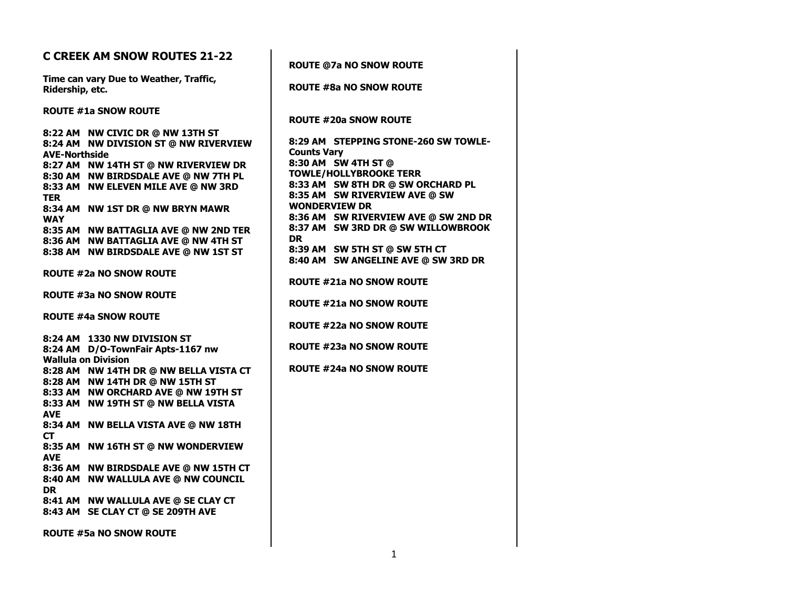| <b>C CREEK AM SNOW ROUTES 21-22</b>                                                                                                                                                                                                                     |                                                                                                                                                                                         |
|---------------------------------------------------------------------------------------------------------------------------------------------------------------------------------------------------------------------------------------------------------|-----------------------------------------------------------------------------------------------------------------------------------------------------------------------------------------|
|                                                                                                                                                                                                                                                         | <b>ROUTE @7a NO SNOW ROUTE</b>                                                                                                                                                          |
| Time can vary Due to Weather, Traffic,<br>Ridership, etc.                                                                                                                                                                                               | <b>ROUTE #8a NO SNOW ROUTE</b>                                                                                                                                                          |
| <b>ROUTE #1a SNOW ROUTE</b><br>8:22 AM NW CIVIC DR @ NW 13TH ST<br>8:24 AM NW DIVISION ST @ NW RIVERVIEW<br><b>AVE-Northside</b><br>8:27 AM NW 14TH ST @ NW RIVERVIEW DR<br>8:30 AM NW BIRDSDALE AVE @ NW 7TH PL<br>8:33 AM NW ELEVEN MILE AVE @ NW 3RD | <b>ROUTE #20a SNOW ROUTE</b><br>8:29 AM STEPPING STONE-260 SW TOWLE-<br><b>Counts Vary</b><br>8:30 AM SW 4TH ST @<br><b>TOWLE/HOLLYBROOKE TERR</b><br>8:33 AM SW 8TH DR @ SW ORCHARD PL |
| <b>TER</b><br>8:34 AM NW 1ST DR @ NW BRYN MAWR<br><b>WAY</b>                                                                                                                                                                                            | 8:35 AM SW RIVERVIEW AVE @ SW<br><b>WONDERVIEW DR</b><br>8:36 AM SW RIVERVIEW AVE @ SW 2ND DR<br>8:37 AM SW 3RD DR @ SW WILLOWBROOK                                                     |
| 8:35 AM NW BATTAGLIA AVE @ NW 2ND TER<br>8:36 AM NW BATTAGLIA AVE @ NW 4TH ST<br>8:38 AM NW BIRDSDALE AVE @ NW 1ST ST                                                                                                                                   | <b>DR</b><br>8:39 AM SW 5TH ST @ SW 5TH CT<br>8:40 AM SW ANGELINE AVE @ SW 3RD DR                                                                                                       |
| <b>ROUTE #2a NO SNOW ROUTE</b>                                                                                                                                                                                                                          | <b>ROUTE #21a NO SNOW ROUTE</b>                                                                                                                                                         |
| <b>ROUTE #3a NO SNOW ROUTE</b>                                                                                                                                                                                                                          | <b>ROUTE #21a NO SNOW ROUTE</b>                                                                                                                                                         |
| <b>ROUTE #4a SNOW ROUTE</b>                                                                                                                                                                                                                             | ROUTE #22a NO SNOW ROUTE                                                                                                                                                                |
| 8:24 AM 1330 NW DIVISION ST<br>8:24 AM D/O-TownFair Apts-1167 nw<br><b>Wallula on Division</b>                                                                                                                                                          | <b>ROUTE #23a NO SNOW ROUTE</b>                                                                                                                                                         |
| 8:28 AM NW 14TH DR @ NW BELLA VISTA CT<br>8:28 AM NW 14TH DR @ NW 15TH ST<br>8:33 AM NW ORCHARD AVE @ NW 19TH ST<br>8:33 AM NW 19TH ST @ NW BELLA VISTA<br><b>AVE</b>                                                                                   | <b>ROUTE #24a NO SNOW ROUTE</b>                                                                                                                                                         |
| 8:34 AM NW BELLA VISTA AVE @ NW 18TH<br>CT.<br>8:35 AM NW 16TH ST @ NW WONDERVIEW<br><b>AVE</b>                                                                                                                                                         |                                                                                                                                                                                         |
| 8:36 AM NW BIRDSDALE AVE @ NW 15TH CT<br>8:40 AM NW WALLULA AVE @ NW COUNCIL<br><b>DR</b>                                                                                                                                                               |                                                                                                                                                                                         |
| 8:41 AM NW WALLULA AVE @ SE CLAY CT<br>8:43 AM SE CLAY CT @ SE 209TH AVE                                                                                                                                                                                |                                                                                                                                                                                         |
| <b>ROUTE #5a NO SNOW ROUTE</b>                                                                                                                                                                                                                          |                                                                                                                                                                                         |